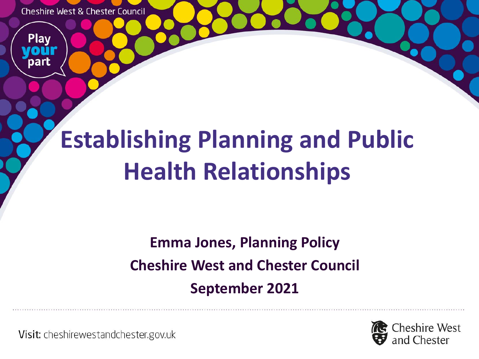**Cheshire West & Chester Council** 

Play

# **Establishing Planning and Public Health Relationships**

### **Emma Jones, Planning Policy Cheshire West and Chester Council September 2021**

Visit: cheshirewestandchester.gov.uk

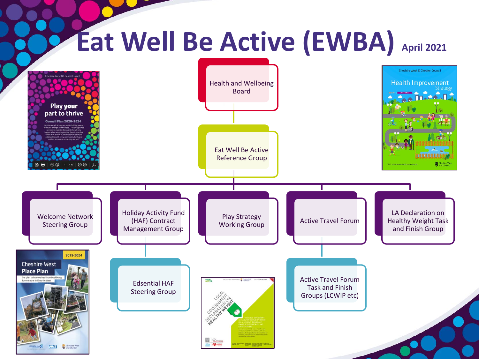#### **Eat Well Be Active (EWBA) April 2021 Cheshire West & Chester Council** Health and Wellbeing **Health Improvement** Board Play your part to thrive icil Plan 2020-2024 Eat Well Be Active Reference Group Cheshin<br>W<sub>and Che</sub> Holiday Activity Fund LA Declaration on Welcome Network Play Strategy<br>Working Group (HAF) Contract **Active Travel Forum** Healthy Weight Task Steering Group Management Group and Finish Group2019-2024 **Cheshire West Place Plan** Our plan to improve health and we Active Travel Forum for everyone in Cheshire West Edsential HAF Task and Finish Steering Group Groups (LCWIP etc) **M**  $\rightarrow$ **NHS** Cheshire Wes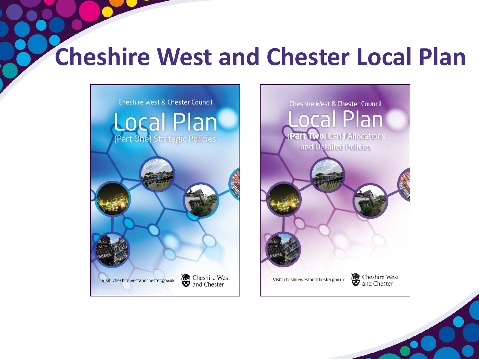### **Cheshire West and Chester Local Plan**

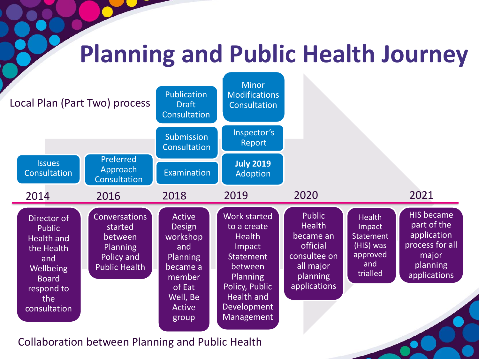### **Planning and Public Health Journey**



Collaboration between Planning and Public Health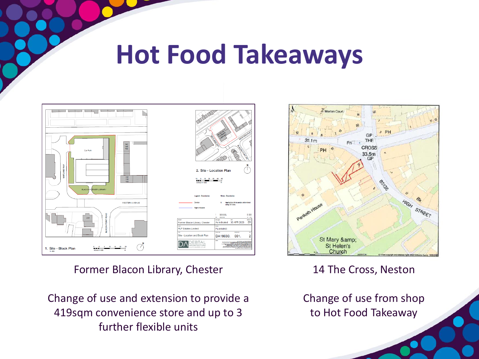### **Hot Food Takeaways**



Former Blacon Library, Chester

Change of use and extension to provide a 419sqm convenience store and up to 3 further flexible units



14 The Cross, Neston

Change of use from shop to Hot Food Takeaway